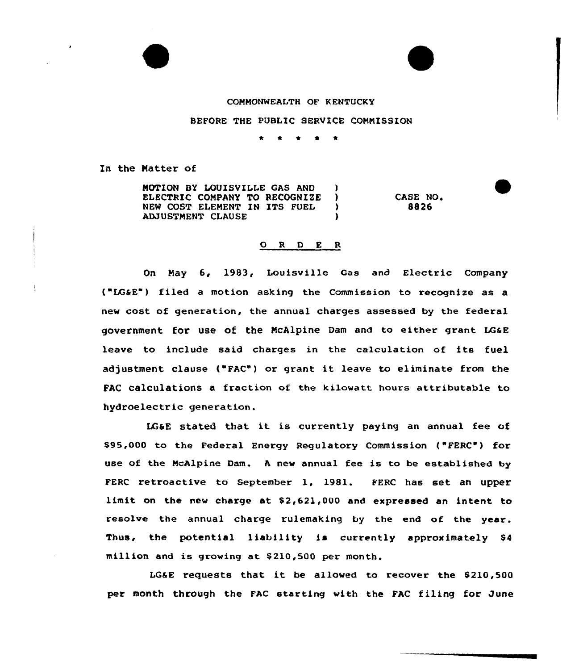## COMMONWEALTH OF KENTUCKY

BEFORE THE PUBLIC SERVICE COMMISSION

\*

In the Matter of

MOTION BY LOUISVILLE GAS AND )<br>ELECTRIC COMPANY TO RECOGNIZE ) ELECTRIC COMPANY TO RECOGNIZE )<br>NEW COST ELEMENT IN ITS FUEL ) NEW COST ELEMENT IN ITS FUEL )<br>ADJUSTMENT CLAUSE ADJUSTMENT CLAUSE )

CASE NO. **RA26** 

## 0 <sup>R</sup> <sup>D</sup> <sup>E</sup> <sup>R</sup>

On May 6, 1983, Louisville Gas and Electric Company { LG&E") filed a motion asking the Commission to recognize as a new cost of generation, the annual charges assessed by the federal government for use of the McAlpine Dam and to either grant LGaE leave to include said charges in the calculation of its fuel adjustment clause {"FAC") or grant it leave to eliminate from the FAC calculations a fraction of the kilowatt hours attributable to hydroelectric generation.

LGaE stated that it is currently paying an annual fee of \$95,000 to the Federal Energy Regulatory Commission {"FERC') for use of the McAlpine Dam. A new annual fee is to be established by FERC retroactive to September 1, 1981. FERC has set an upper limit on the new charge at \$2,621,000 and expressed an intent to resolve the annual charge rulemaking by the end of the year. Thus, the potential liability is currently approximately \$<sup>4</sup> million and is growing at \$ 210,500 per month.

LGGE requests that it be allowed to recover the  $$210,500$ per month through the FAC starting with the FAC filing for June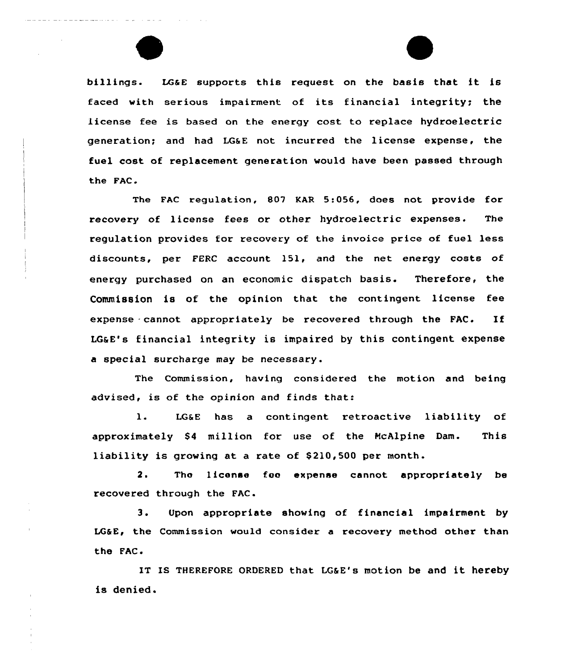billings. LG&E supports this request on the basis that it is faced with serious impairment of its financial integrity; the license fee is based on the energy cost to replace hydroelectric generation; and had LG&E not incurred the license expense, the fuel cost of replacement generation would have been passed through the FAC.

The FAC regulation, 807 KAR 5:056, does not provide for recovery of license fees or other hydroelectric expenses. The regulation provides for recovery of the invoice price of fuel less discounts, per FERC account 151, and the net energy costs of energy purchased on an economic dispatch basis. Therefore, the Commission is of the opinion that the contingent license fee expense cannot appropriately be recovered through the FAC. If LG&E's financial integrity is impaired by this contingent expense a special surcharge may be necessary.

The Commission, having considered the motion and being advised, is of the opinion and finds that:

1. LG&E has a contingent retroactive liability of approximately \$4 million for use of the McAlpine Dam. This liability is growing at a rate of \$210,500 per month.

2. The license foe expense cannot appropriately be recovered through the FAC.

3. Upon appropriate showing of financial impairment by LG&E, the Commission would consider a recovery method other than the FAC.

IT IS THEREFORE ORDERED that LG&E's motion be and it hereby is denied.